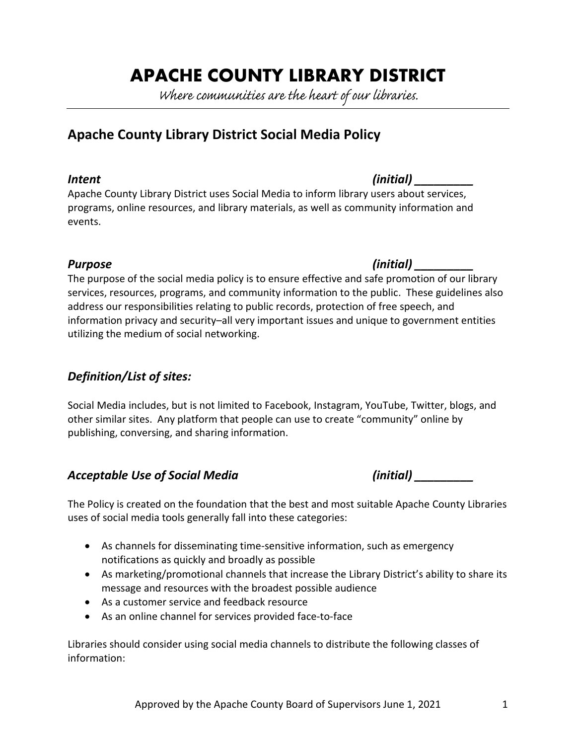# **APACHE COUNTY LIBRARY DISTRICT**

Where communities are the heart of our libraries.

## **Apache County Library District Social Media Policy**

#### *Intent (initial) \_\_\_\_\_\_\_\_\_*

Apache County Library District uses Social Media to inform library users about services, programs, online resources, and library materials, as well as community information and events.

### *Purpose (initial) \_\_\_\_\_\_\_\_\_*

The purpose of the social media policy is to ensure effective and safe promotion of our library services, resources, programs, and community information to the public. These guidelines also address our responsibilities relating to public records, protection of free speech, and information privacy and security–all very important issues and unique to government entities utilizing the medium of social networking.

### *Definition/List of sites:*

Social Media includes, but is not limited to Facebook, Instagram, YouTube, Twitter, blogs, and other similar sites. Any platform that people can use to create "community" online by publishing, conversing, and sharing information.

### *Acceptable Use of Social Media (initial) \_\_\_\_\_\_\_\_\_*

The Policy is created on the foundation that the best and most suitable Apache County Libraries uses of social media tools generally fall into these categories:

- As channels for disseminating time-sensitive information, such as emergency notifications as quickly and broadly as possible
- As marketing/promotional channels that increase the Library District's ability to share its message and resources with the broadest possible audience
- As a customer service and feedback resource
- As an online channel for services provided face-to-face

Libraries should consider using social media channels to distribute the following classes of information: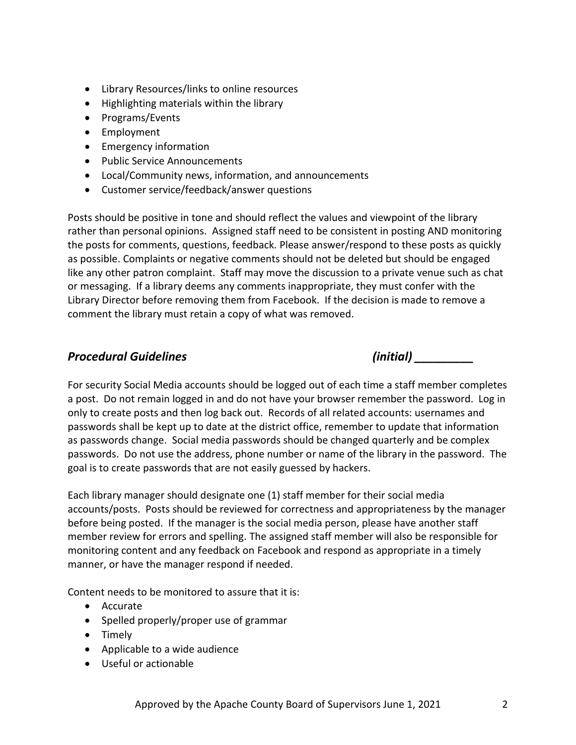- Library Resources/links to online resources
- Highlighting materials within the library
- Programs/Events
- Employment
- Emergency information
- Public Service Announcements
- Local/Community news, information, and announcements
- Customer service/feedback/answer questions

Posts should be positive in tone and should reflect the values and viewpoint of the library rather than personal opinions. Assigned staff need to be consistent in posting AND monitoring the posts for comments, questions, feedback. Please answer/respond to these posts as quickly as possible. Complaints or negative comments should not be deleted but should be engaged like any other patron complaint. Staff may move the discussion to a private venue such as chat or messaging. If a library deems any comments inappropriate, they must confer with the Library Director before removing them from Facebook. If the decision is made to remove a comment the library must retain a copy of what was removed.

### *Procedural Guidelines (initial) \_\_\_\_\_\_\_\_\_*

For security Social Media accounts should be logged out of each time a staff member completes a post. Do not remain logged in and do not have your browser remember the password. Log in only to create posts and then log back out. Records of all related accounts: usernames and passwords shall be kept up to date at the district office, remember to update that information as passwords change. Social media passwords should be changed quarterly and be complex passwords. Do not use the address, phone number or name of the library in the password. The goal is to create passwords that are not easily guessed by hackers.

Each library manager should designate one (1) staff member for their social media accounts/posts. Posts should be reviewed for correctness and appropriateness by the manager before being posted. If the manager is the social media person, please have another staff member review for errors and spelling. The assigned staff member will also be responsible for monitoring content and any feedback on Facebook and respond as appropriate in a timely manner, or have the manager respond if needed.

Content needs to be monitored to assure that it is:

- Accurate
- Spelled properly/proper use of grammar
- Timely
- Applicable to a wide audience
- Useful or actionable